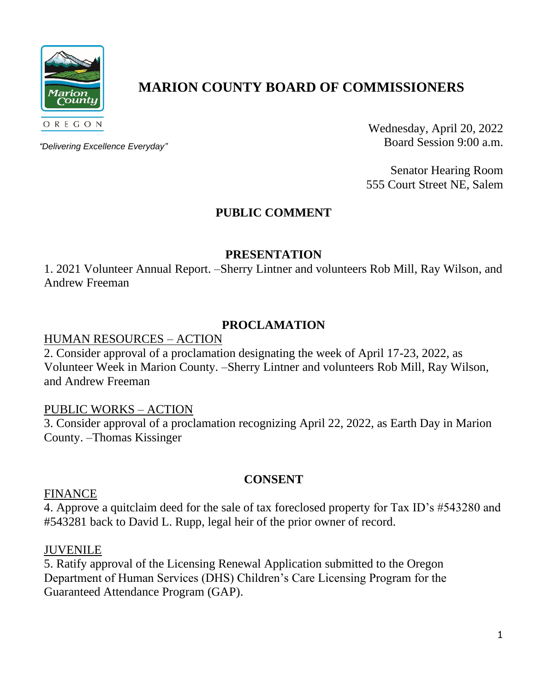

# **MARION COUNTY BOARD OF COMMISSIONERS**

*"Delivering Excellence Everyday"*

Wednesday, April 20, 2022 Board Session 9:00 a.m.

Senator Hearing Room 555 Court Street NE, Salem

# **PUBLIC COMMENT**

# **PRESENTATION**

1. 2021 Volunteer Annual Report. –Sherry Lintner and volunteers Rob Mill, Ray Wilson, and Andrew Freeman

# **PROCLAMATION**

#### HUMAN RESOURCES – ACTION

2. Consider approval of a proclamation designating the week of April 17-23, 2022, as Volunteer Week in Marion County. –Sherry Lintner and volunteers Rob Mill, Ray Wilson, and Andrew Freeman

# PUBLIC WORKS – ACTION

3. Consider approval of a proclamation recognizing April 22, 2022, as Earth Day in Marion County. –Thomas Kissinger

# **CONSENT**

#### FINANCE

4. Approve a quitclaim deed for the sale of tax foreclosed property for Tax ID's #543280 and #543281 back to David L. Rupp, legal heir of the prior owner of record.

#### JUVENILE

5. Ratify approval of the Licensing Renewal Application submitted to the Oregon Department of Human Services (DHS) Children's Care Licensing Program for the Guaranteed Attendance Program (GAP).